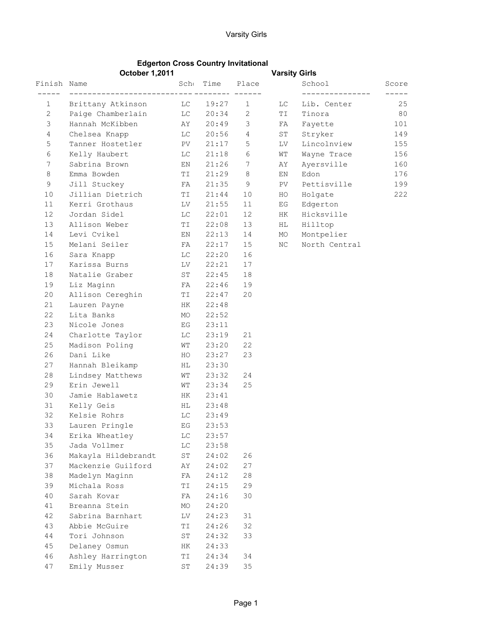## Edgerton Cross Country Invitational

|                | <b>October 1,2011</b>      |             |                 |                 | <b>Varsity Girls</b> |               |       |
|----------------|----------------------------|-------------|-----------------|-----------------|----------------------|---------------|-------|
| Finish Name    |                            |             | Scho Time Place |                 |                      | School        | Score |
| $\mathbf{1}$   | Brittany Atkinson LC 19:27 |             |                 | $\mathbf{1}$    | LC                   | Lib. Center   | 25    |
| 2              | Paige Chamberlain          |             | LC 20:34        | 2               | TI.                  | Tinora        | 80    |
| 3              | Hannah McKibben            | AY          | 20:49           | $\mathcal{S}$   | FA                   | Fayette       | 101   |
| $\overline{4}$ | Chelsea Knapp              | LC          | 20:56           | 4               | ST                   | Stryker       | 149   |
| 5              | Tanner Hostetler PV        |             | 21:17           | 5               | LV                   | Lincolnview   | 155   |
| 6              | Kelly Haubert              | LC          | 21:18           | 6               | WΤ                   | Wayne Trace   | 156   |
| 7              | Sabrina Brown              | EN          | 21:26           | $7\phantom{.0}$ | AY                   | Ayersville    | 160   |
| 8              | Emma Bowden                | TI          | 21:29           | 8               | ΕN                   | Edon          | 176   |
| 9              | Jill Stuckey               | FA          | 21:35           | 9               | PV.                  | Pettisville   | 199   |
| 10             | Jillian Dietrich           | TI          | 21:44           | 10              | HO                   | Holgate       | 222   |
| 11             | Kerri Grothaus             | LV –        | 21:55           | 11              | EG                   | Edgerton      |       |
| 12             | Jordan Sidel               | LC          | 22:01           | 12              | HK                   | Hicksville    |       |
| 13             | Allison Weber              | TI          | 22:08           | 13              | HL                   | Hilltop       |       |
| 14             | Levi Cvikel                | EN          | 22:13           | 14              | MO                   | Montpelier    |       |
| 15             | Melani Seiler              | FA          | 22:17           | 15              | ΝC                   | North Central |       |
| 16             | Sara Knapp                 | LC          | 22:20           | 16              |                      |               |       |
| 17             | Karissa Burns              | LV          | 22:21           | 17              |                      |               |       |
| 18             | Natalie Graber             | ST          | 22:45           | 18              |                      |               |       |
| 19             | Liz Maginn                 | FA          | 22:46           | 19              |                      |               |       |
| 20             | Allison Cereghin           | TI          | 22:47           | 20              |                      |               |       |
| 21             | Lauren Payne               | HK          | 22:48           |                 |                      |               |       |
| 22             | Lita Banks                 | MO          | 22:52           |                 |                      |               |       |
| 23             | Nicole Jones               | EG          | 23:11           |                 |                      |               |       |
| 24             | Charlotte Taylor           | LC          | 23:19           | 21              |                      |               |       |
| 25             | Madison Poling             | WТ          | 23:20           | 22              |                      |               |       |
| 26             | Dani Like                  | HO          | 23:27           | 23              |                      |               |       |
| 27             | Hannah Bleikamp            | HL          | 23:30           |                 |                      |               |       |
| 28             | Lindsey Matthews           | WТ          | 23:32           | 24              |                      |               |       |
| 29             | Erin Jewell                | WТ          | 23:34           | 25              |                      |               |       |
| 30             | Jamie Hablawetz            | HK          | 23:41           |                 |                      |               |       |
| 31             | Kelly Geis                 | HL          | 23:48           |                 |                      |               |       |
| 32             | Kelsie Rohrs               | LC          | 23:49           |                 |                      |               |       |
| 33             | Lauren Pringle             | EG          | 23:53           |                 |                      |               |       |
| 34             | Erika Wheatley             | LС          | 23:57           |                 |                      |               |       |
| 35             | Jada Vollmer               | LC          | 23:58           |                 |                      |               |       |
| 36             | Makayla Hildebrandt        | $\mbox{ST}$ | 24:02           | 26              |                      |               |       |
| 37             | Mackenzie Guilford         | AΥ          | 24:02           | 27              |                      |               |       |
| 38             | Madelyn Maginn             | FA          | 24:12           | 28              |                      |               |       |
| 39             | Michala Ross               | ΤI          | 24:15           | 29              |                      |               |       |
| 40             | Sarah Kovar                | FA          | 24:16           | 30              |                      |               |       |
| 41             | Breanna Stein              | MO          | 24:20           |                 |                      |               |       |
| 42             | Sabrina Barnhart           | LV          | 24:23           | 31              |                      |               |       |
| 43             | Abbie McGuire              | ΤI          | 24:26           | 32              |                      |               |       |
| 44             | Tori Johnson               | ST          | 24:32           | 33              |                      |               |       |
| 45             | Delaney Osmun              | HК          | 24:33           |                 |                      |               |       |
| 46             | Ashley Harrington          | ΤI          | 24:34           | 34              |                      |               |       |
| 47             | Emily Musser               | $\mbox{ST}$ | 24:39           | 35              |                      |               |       |